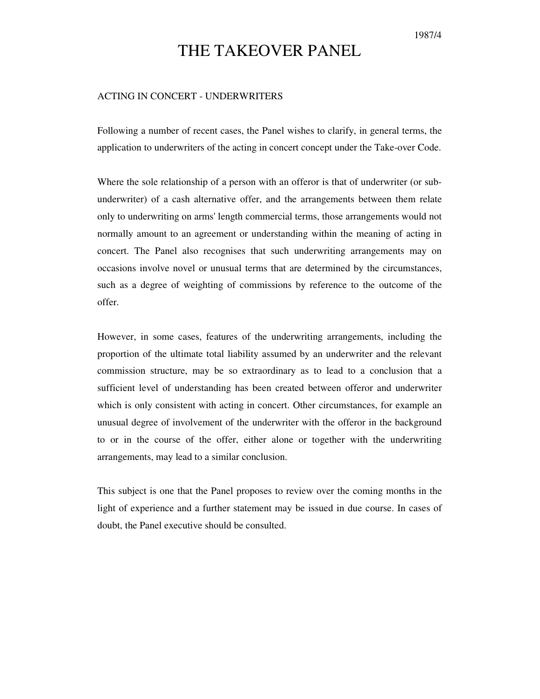## THE TAKEOVER PANEL

## ACTING IN CONCERT - UNDERWRITERS

Following a number of recent cases, the Panel wishes to clarify, in general terms, the application to underwriters of the acting in concert concept under the Take-over Code.

Where the sole relationship of a person with an offeror is that of underwriter (or subunderwriter) of a cash alternative offer, and the arrangements between them relate only to underwriting on arms' length commercial terms, those arrangements would not normally amount to an agreement or understanding within the meaning of acting in concert. The Panel also recognises that such underwriting arrangements may on occasions involve novel or unusual terms that are determined by the circumstances, such as a degree of weighting of commissions by reference to the outcome of the offer.

However, in some cases, features of the underwriting arrangements, including the proportion of the ultimate total liability assumed by an underwriter and the relevant commission structure, may be so extraordinary as to lead to a conclusion that a sufficient level of understanding has been created between offeror and underwriter which is only consistent with acting in concert. Other circumstances, for example an unusual degree of involvement of the underwriter with the offeror in the background to or in the course of the offer, either alone or together with the underwriting arrangements, may lead to a similar conclusion.

This subject is one that the Panel proposes to review over the coming months in the light of experience and a further statement may be issued in due course. In cases of doubt, the Panel executive should be consulted.